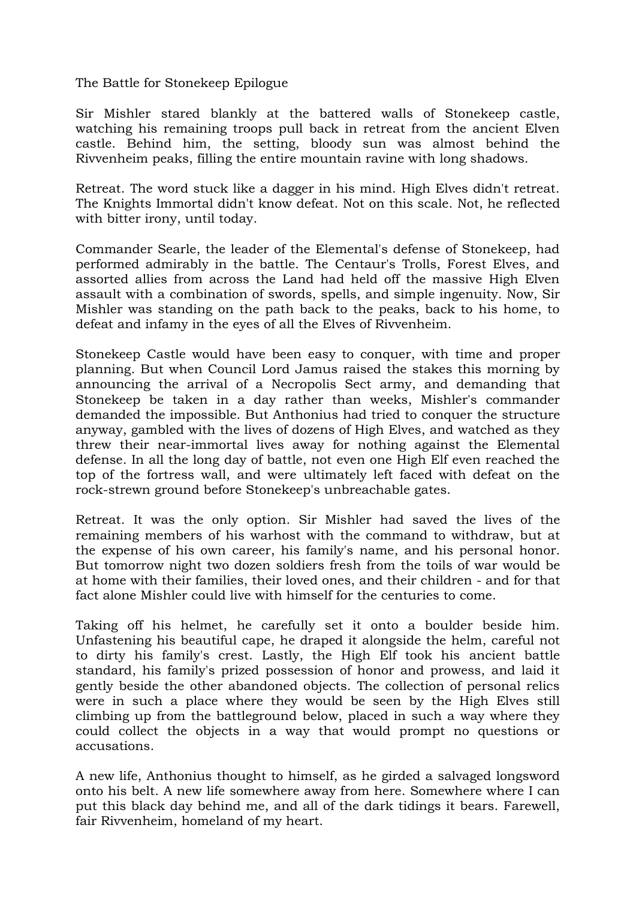The Battle for Stonekeep Epilogue

Sir Mishler stared blankly at the battered walls of Stonekeep castle, watching his remaining troops pull back in retreat from the ancient Elven castle. Behind him, the setting, bloody sun was almost behind the Rivvenheim peaks, filling the entire mountain ravine with long shadows.

Retreat. The word stuck like a dagger in his mind. High Elves didn't retreat. The Knights Immortal didn't know defeat. Not on this scale. Not, he reflected with bitter irony, until today.

Commander Searle, the leader of the Elemental's defense of Stonekeep, had performed admirably in the battle. The Centaur's Trolls, Forest Elves, and assorted allies from across the Land had held off the massive High Elven assault with a combination of swords, spells, and simple ingenuity. Now, Sir Mishler was standing on the path back to the peaks, back to his home, to defeat and infamy in the eyes of all the Elves of Rivvenheim.

Stonekeep Castle would have been easy to conquer, with time and proper planning. But when Council Lord Jamus raised the stakes this morning by announcing the arrival of a Necropolis Sect army, and demanding that Stonekeep be taken in a day rather than weeks, Mishler's commander demanded the impossible. But Anthonius had tried to conquer the structure anyway, gambled with the lives of dozens of High Elves, and watched as they threw their near-immortal lives away for nothing against the Elemental defense. In all the long day of battle, not even one High Elf even reached the top of the fortress wall, and were ultimately left faced with defeat on the rock-strewn ground before Stonekeep's unbreachable gates.

Retreat. It was the only option. Sir Mishler had saved the lives of the remaining members of his warhost with the command to withdraw, but at the expense of his own career, his family's name, and his personal honor. But tomorrow night two dozen soldiers fresh from the toils of war would be at home with their families, their loved ones, and their children - and for that fact alone Mishler could live with himself for the centuries to come.

Taking off his helmet, he carefully set it onto a boulder beside him. Unfastening his beautiful cape, he draped it alongside the helm, careful not to dirty his family's crest. Lastly, the High Elf took his ancient battle standard, his family's prized possession of honor and prowess, and laid it gently beside the other abandoned objects. The collection of personal relics were in such a place where they would be seen by the High Elves still climbing up from the battleground below, placed in such a way where they could collect the objects in a way that would prompt no questions or accusations.

A new life, Anthonius thought to himself, as he girded a salvaged longsword onto his belt. A new life somewhere away from here. Somewhere where I can put this black day behind me, and all of the dark tidings it bears. Farewell, fair Rivvenheim, homeland of my heart.